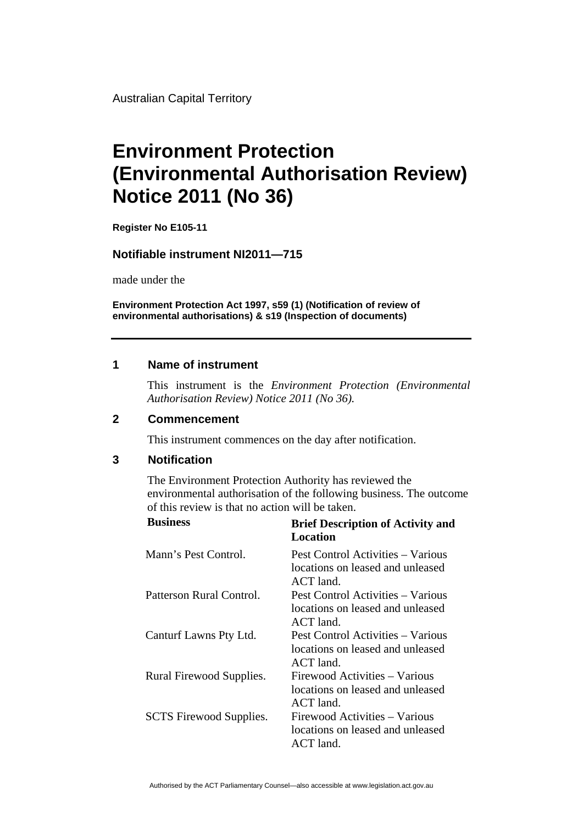Australian Capital Territory

# **Environment Protection (Environmental Authorisation Review) Notice 2011 (No 36)**

**Register No E105-11**

## **Notifiable instrument NI2011—715**

made under the

**Environment Protection Act 1997, s59 (1) (Notification of review of environmental authorisations) & s19 (Inspection of documents)**

## **1 Name of instrument**

This instrument is the *Environment Protection (Environmental Authorisation Review) Notice 2011 (No 36).* 

#### **2 Commencement**

This instrument commences on the day after notification.

#### **3 Notification**

The Environment Protection Authority has reviewed the environmental authorisation of the following business. The outcome of this review is that no action will be taken.

| <b>Business</b>                | <b>Brief Description of Activity and</b><br>Location                                 |
|--------------------------------|--------------------------------------------------------------------------------------|
| Mann's Pest Control.           | Pest Control Activities – Various<br>locations on leased and unleased<br>$ACT$ land. |
| Patterson Rural Control.       | Pest Control Activities – Various<br>locations on leased and unleased<br>$ACT$ land. |
| Canturf Lawns Pty Ltd.         | Pest Control Activities – Various<br>locations on leased and unleased<br>$ACT$ land. |
| Rural Firewood Supplies.       | Firewood Activities - Various<br>locations on leased and unleased<br>ACT land.       |
| <b>SCTS</b> Firewood Supplies. | Firewood Activities – Various<br>locations on leased and unleased<br>ACT land.       |